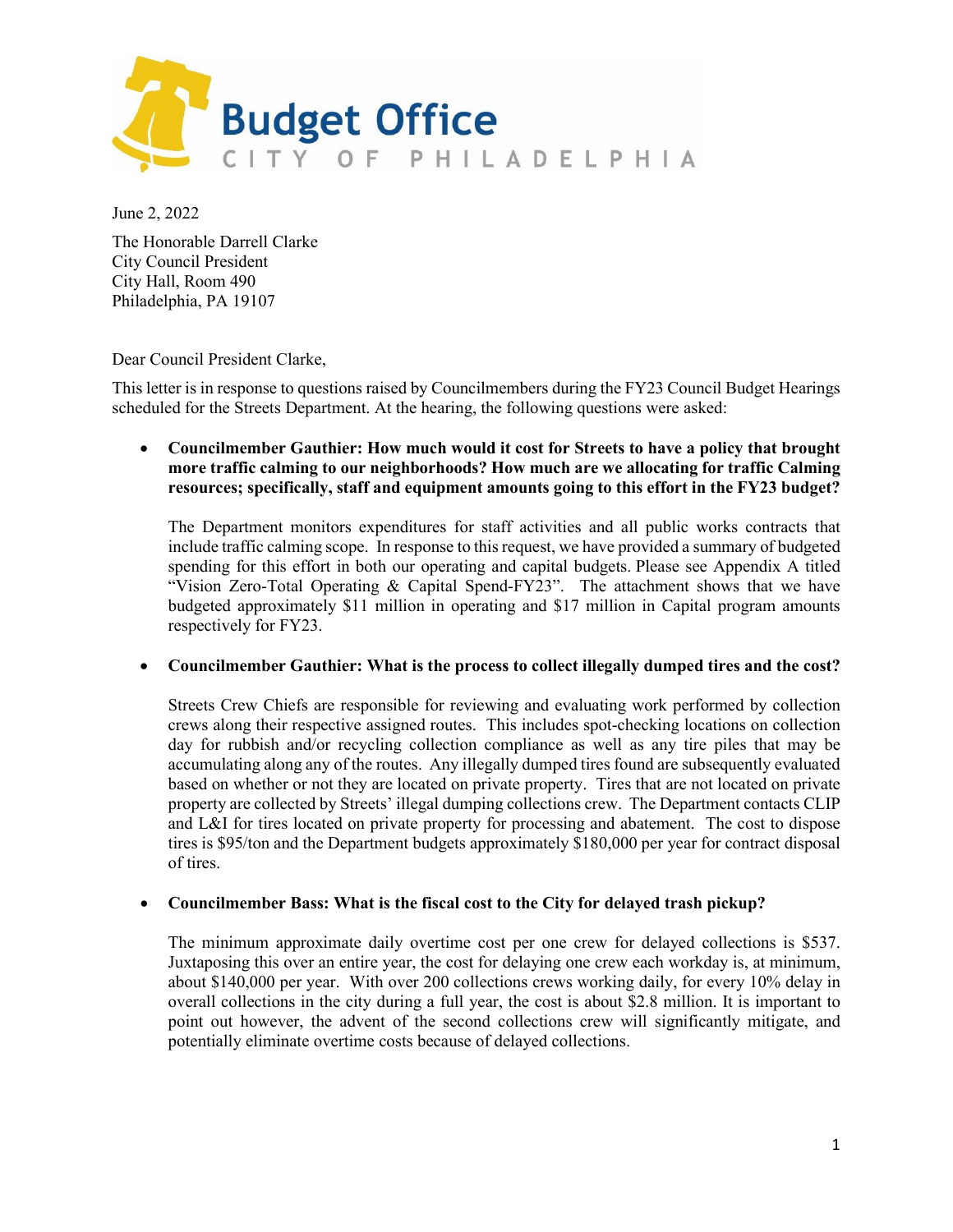

June 2, 2022

The Honorable Darrell Clarke City Council President City Hall, Room 490 Philadelphia, PA 19107

Dear Council President Clarke,

This letter is in response to questions raised by Councilmembers during the FY23 Council Budget Hearings scheduled for the Streets Department. At the hearing, the following questions were asked:

• **Councilmember Gauthier: How much would it cost for Streets to have a policy that brought more traffic calming to our neighborhoods? How much are we allocating for traffic Calming resources; specifically, staff and equipment amounts going to this effort in the FY23 budget?**

The Department monitors expenditures for staff activities and all public works contracts that include traffic calming scope. In response to this request, we have provided a summary of budgeted spending for this effort in both our operating and capital budgets. Please see Appendix A titled "Vision Zero-Total Operating & Capital Spend-FY23". The attachment shows that we have budgeted approximately \$11 million in operating and \$17 million in Capital program amounts respectively for FY23.

### • **Councilmember Gauthier: What is the process to collect illegally dumped tires and the cost?**

Streets Crew Chiefs are responsible for reviewing and evaluating work performed by collection crews along their respective assigned routes. This includes spot-checking locations on collection day for rubbish and/or recycling collection compliance as well as any tire piles that may be accumulating along any of the routes. Any illegally dumped tires found are subsequently evaluated based on whether or not they are located on private property. Tires that are not located on private property are collected by Streets' illegal dumping collections crew. The Department contacts CLIP and L&I for tires located on private property for processing and abatement. The cost to dispose tires is \$95/ton and the Department budgets approximately \$180,000 per year for contract disposal of tires.

### • **Councilmember Bass: What is the fiscal cost to the City for delayed trash pickup?**

The minimum approximate daily overtime cost per one crew for delayed collections is \$537. Juxtaposing this over an entire year, the cost for delaying one crew each workday is, at minimum, about \$140,000 per year. With over 200 collections crews working daily, for every 10% delay in overall collections in the city during a full year, the cost is about \$2.8 million. It is important to point out however, the advent of the second collections crew will significantly mitigate, and potentially eliminate overtime costs because of delayed collections.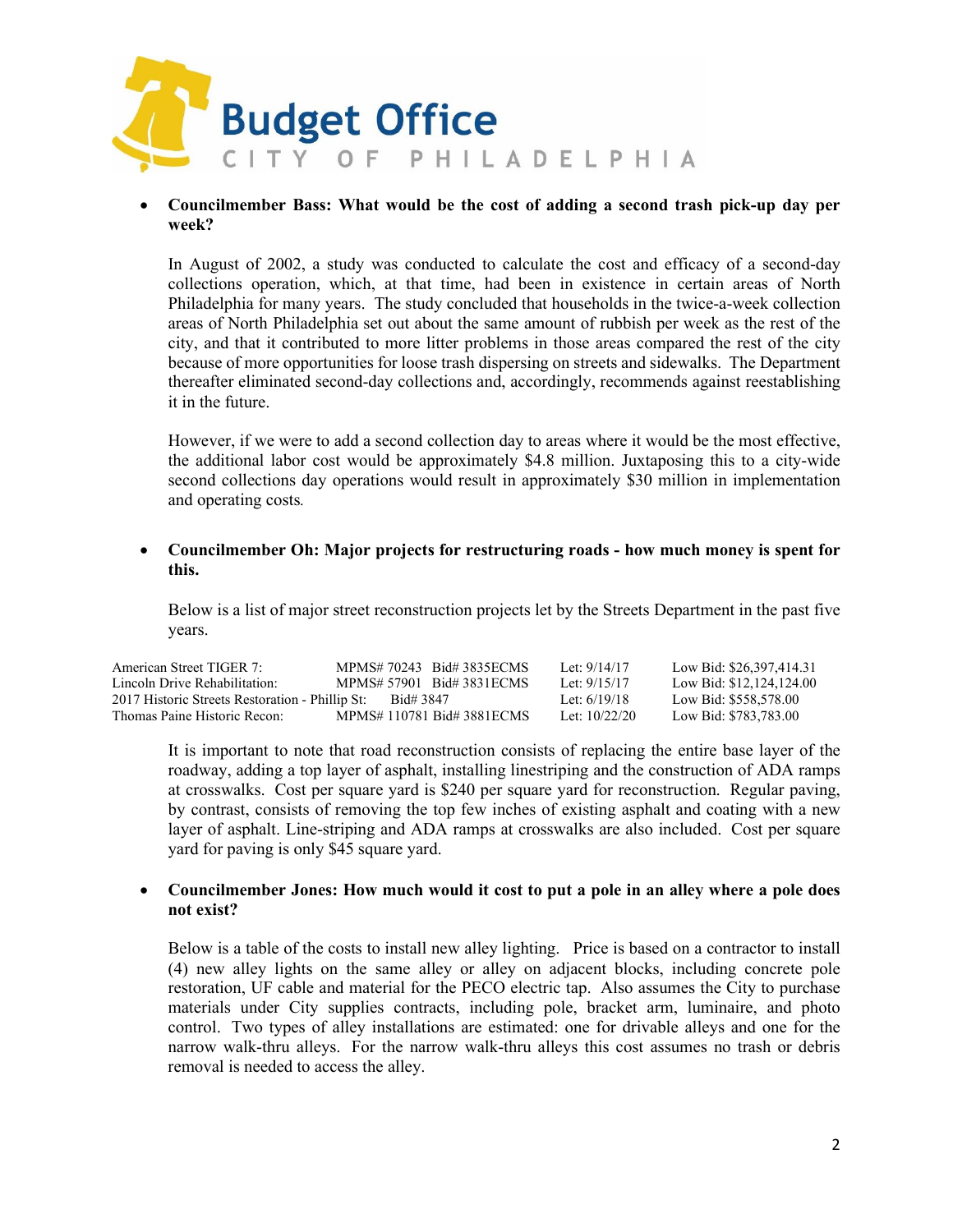

### • **Councilmember Bass: What would be the cost of adding a second trash pick-up day per week?**

In August of 2002, a study was conducted to calculate the cost and efficacy of a second-day collections operation, which, at that time, had been in existence in certain areas of North Philadelphia for many years. The study concluded that households in the twice-a-week collection areas of North Philadelphia set out about the same amount of rubbish per week as the rest of the city, and that it contributed to more litter problems in those areas compared the rest of the city because of more opportunities for loose trash dispersing on streets and sidewalks. The Department thereafter eliminated second-day collections and, accordingly, recommends against reestablishing it in the future.

However, if we were to add a second collection day to areas where it would be the most effective, the additional labor cost would be approximately \$4.8 million. Juxtaposing this to a city-wide second collections day operations would result in approximately \$30 million in implementation and operating costs*.*

### • **Councilmember Oh: Major projects for restructuring roads - how much money is spent for this.**

Below is a list of major street reconstruction projects let by the Streets Department in the past five years.

| American Street TIGER 7:                        | MPMS# 70243 Bid# 3835ECMS  | Let: $9/14/17$  | Low Bid: \$26,397,414.31 |
|-------------------------------------------------|----------------------------|-----------------|--------------------------|
| Lincoln Drive Rehabilitation:                   | MPMS# 57901 Bid# 3831 ECMS | Let: $9/15/17$  | Low Bid: \$12,124,124.00 |
| 2017 Historic Streets Restoration - Phillip St: | Bid# 3847                  | Let: $6/19/18$  | Low Bid: \$558,578.00    |
| Thomas Paine Historic Recon:                    | MPMS# 110781 Bid# 3881ECMS | Let: $10/22/20$ | Low Bid: \$783,783.00    |

It is important to note that road reconstruction consists of replacing the entire base layer of the roadway, adding a top layer of asphalt, installing linestriping and the construction of ADA ramps at crosswalks. Cost per square yard is \$240 per square yard for reconstruction. Regular paving, by contrast, consists of removing the top few inches of existing asphalt and coating with a new layer of asphalt. Line-striping and ADA ramps at crosswalks are also included. Cost per square yard for paving is only \$45 square yard.

### • **Councilmember Jones: How much would it cost to put a pole in an alley where a pole does not exist?**

Below is a table of the costs to install new alley lighting. Price is based on a contractor to install (4) new alley lights on the same alley or alley on adjacent blocks, including concrete pole restoration, UF cable and material for the PECO electric tap. Also assumes the City to purchase materials under City supplies contracts, including pole, bracket arm, luminaire, and photo control. Two types of alley installations are estimated: one for drivable alleys and one for the narrow walk-thru alleys. For the narrow walk-thru alleys this cost assumes no trash or debris removal is needed to access the alley.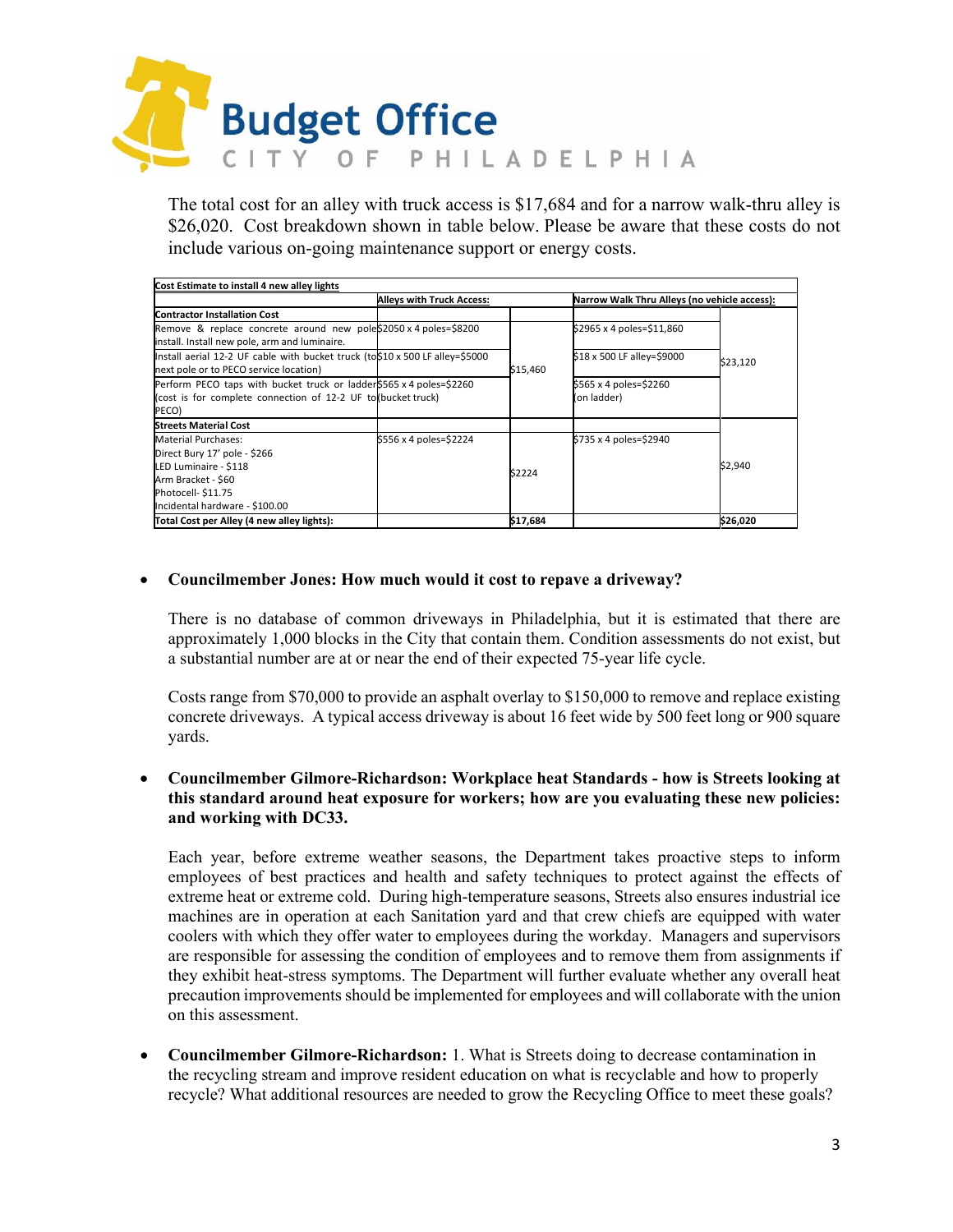

The total cost for an alley with truck access is \$17,684 and for a narrow walk-thru alley is \$26,020. Cost breakdown shown in table below. Please be aware that these costs do not include various on-going maintenance support or energy costs.

| Cost Estimate to install 4 new alley lights                                   |                                  |          |                                              |          |  |  |
|-------------------------------------------------------------------------------|----------------------------------|----------|----------------------------------------------|----------|--|--|
|                                                                               | <b>Alleys with Truck Access:</b> |          | Narrow Walk Thru Alleys (no vehicle access): |          |  |  |
| <b>Contractor Installation Cost</b>                                           |                                  |          |                                              |          |  |  |
| Remove & replace concrete around new pole\$2050 x 4 poles=\$8200              |                                  |          | \$2965 x 4 poles=\$11,860                    |          |  |  |
| install. Install new pole, arm and luminaire.                                 |                                  |          |                                              |          |  |  |
| Install aerial 12-2 UF cable with bucket truck (to \$10 x 500 LF alley=\$5000 |                                  |          | \$18 x 500 LF alley=\$9000                   | \$23,120 |  |  |
| next pole or to PECO service location)                                        |                                  | \$15,460 |                                              |          |  |  |
| Perform PECO taps with bucket truck or ladder \$565 x 4 poles=\$2260          |                                  |          | \$565 x 4 poles=\$2260                       |          |  |  |
| (cost is for complete connection of 12-2 UF to (bucket truck)                 |                                  |          | (on ladder)                                  |          |  |  |
| PECO)                                                                         |                                  |          |                                              |          |  |  |
| <b>Streets Material Cost</b>                                                  |                                  |          |                                              |          |  |  |
| <b>Material Purchases:</b>                                                    | \$556 x 4 poles=\$2224           |          | \$735 x 4 poles=\$2940                       |          |  |  |
| Direct Bury 17' pole - \$266                                                  |                                  |          |                                              |          |  |  |
| LED Luminaire - \$118                                                         |                                  | \$2224   |                                              | \$2,940  |  |  |
| Arm Bracket - \$60                                                            |                                  |          |                                              |          |  |  |
| Photocell- \$11.75                                                            |                                  |          |                                              |          |  |  |
| Incidental hardware - \$100.00                                                |                                  |          |                                              |          |  |  |
| Total Cost per Alley (4 new alley lights):                                    |                                  | \$17,684 |                                              | \$26,020 |  |  |

### • **Councilmember Jones: How much would it cost to repave a driveway?**

There is no database of common driveways in Philadelphia, but it is estimated that there are approximately 1,000 blocks in the City that contain them. Condition assessments do not exist, but a substantial number are at or near the end of their expected 75-year life cycle.

Costs range from \$70,000 to provide an asphalt overlay to \$150,000 to remove and replace existing concrete driveways. A typical access driveway is about 16 feet wide by 500 feet long or 900 square yards.

### • **Councilmember Gilmore-Richardson: Workplace heat Standards - how is Streets looking at this standard around heat exposure for workers; how are you evaluating these new policies: and working with DC33.**

Each year, before extreme weather seasons, the Department takes proactive steps to inform employees of best practices and health and safety techniques to protect against the effects of extreme heat or extreme cold. During high-temperature seasons, Streets also ensures industrial ice machines are in operation at each Sanitation yard and that crew chiefs are equipped with water coolers with which they offer water to employees during the workday. Managers and supervisors are responsible for assessing the condition of employees and to remove them from assignments if they exhibit heat-stress symptoms. The Department will further evaluate whether any overall heat precaution improvements should be implemented for employees and will collaborate with the union on this assessment.

• **Councilmember Gilmore-Richardson:** 1. What is Streets doing to decrease contamination in the recycling stream and improve resident education on what is recyclable and how to properly recycle? What additional resources are needed to grow the Recycling Office to meet these goals?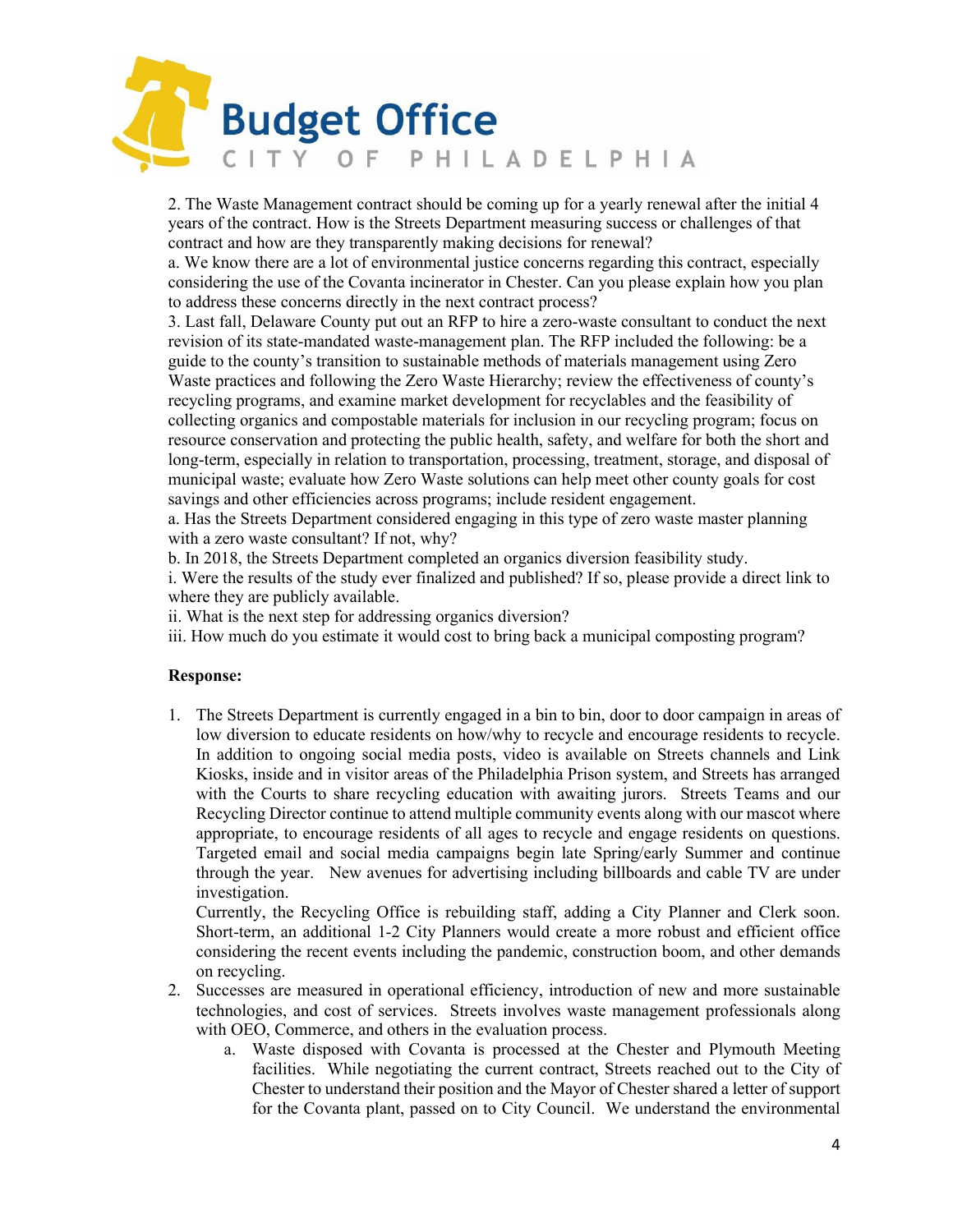

2. The Waste Management contract should be coming up for a yearly renewal after the initial 4 years of the contract. How is the Streets Department measuring success or challenges of that contract and how are they transparently making decisions for renewal?

a. We know there are a lot of environmental justice concerns regarding this contract, especially considering the use of the Covanta incinerator in Chester. Can you please explain how you plan to address these concerns directly in the next contract process?

3. Last fall, Delaware County put out an RFP to hire a zero-waste consultant to conduct the next revision of its state-mandated waste-management plan. The RFP included the following: be a guide to the county's transition to sustainable methods of materials management using Zero Waste practices and following the Zero Waste Hierarchy; review the effectiveness of county's recycling programs, and examine market development for recyclables and the feasibility of collecting organics and compostable materials for inclusion in our recycling program; focus on resource conservation and protecting the public health, safety, and welfare for both the short and long-term, especially in relation to transportation, processing, treatment, storage, and disposal of municipal waste; evaluate how Zero Waste solutions can help meet other county goals for cost savings and other efficiencies across programs; include resident engagement.

a. Has the Streets Department considered engaging in this type of zero waste master planning with a zero waste consultant? If not, why?

b. In 2018, the Streets Department completed an organics diversion feasibility study.

i. Were the results of the study ever finalized and published? If so, please provide a direct link to where they are publicly available.

ii. What is the next step for addressing organics diversion?

iii. How much do you estimate it would cost to bring back a municipal composting program?

### **Response:**

1. The Streets Department is currently engaged in a bin to bin, door to door campaign in areas of low diversion to educate residents on how/why to recycle and encourage residents to recycle. In addition to ongoing social media posts, video is available on Streets channels and Link Kiosks, inside and in visitor areas of the Philadelphia Prison system, and Streets has arranged with the Courts to share recycling education with awaiting jurors. Streets Teams and our Recycling Director continue to attend multiple community events along with our mascot where appropriate, to encourage residents of all ages to recycle and engage residents on questions. Targeted email and social media campaigns begin late Spring/early Summer and continue through the year. New avenues for advertising including billboards and cable TV are under investigation.

Currently, the Recycling Office is rebuilding staff, adding a City Planner and Clerk soon. Short-term, an additional 1-2 City Planners would create a more robust and efficient office considering the recent events including the pandemic, construction boom, and other demands on recycling.

- 2. Successes are measured in operational efficiency, introduction of new and more sustainable technologies, and cost of services. Streets involves waste management professionals along with OEO, Commerce, and others in the evaluation process.
	- a. Waste disposed with Covanta is processed at the Chester and Plymouth Meeting facilities. While negotiating the current contract, Streets reached out to the City of Chester to understand their position and the Mayor of Chester shared a letter of support for the Covanta plant, passed on to City Council. We understand the environmental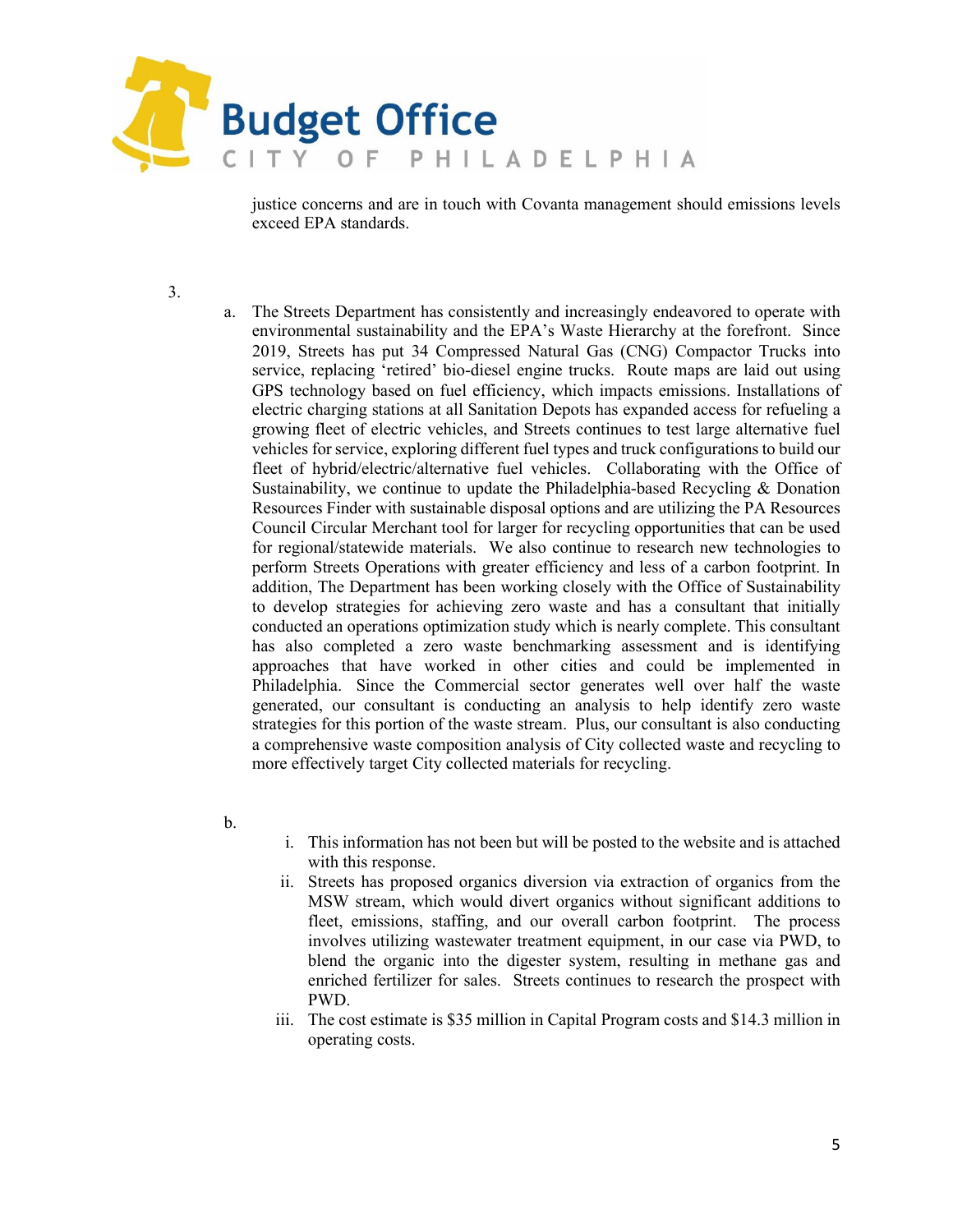

justice concerns and are in touch with Covanta management should emissions levels exceed EPA standards.

3.

- a. The Streets Department has consistently and increasingly endeavored to operate with environmental sustainability and the EPA's Waste Hierarchy at the forefront. Since 2019, Streets has put 34 Compressed Natural Gas (CNG) Compactor Trucks into service, replacing 'retired' bio-diesel engine trucks. Route maps are laid out using GPS technology based on fuel efficiency, which impacts emissions. Installations of electric charging stations at all Sanitation Depots has expanded access for refueling a growing fleet of electric vehicles, and Streets continues to test large alternative fuel vehicles for service, exploring different fuel types and truck configurations to build our fleet of hybrid/electric/alternative fuel vehicles. Collaborating with the Office of Sustainability, we continue to update the Philadelphia-based Recycling & Donation Resources Finder with sustainable disposal options and are utilizing the PA Resources Council Circular Merchant tool for larger for recycling opportunities that can be used for regional/statewide materials. We also continue to research new technologies to perform Streets Operations with greater efficiency and less of a carbon footprint. In addition, The Department has been working closely with the Office of Sustainability to develop strategies for achieving zero waste and has a consultant that initially conducted an operations optimization study which is nearly complete. This consultant has also completed a zero waste benchmarking assessment and is identifying approaches that have worked in other cities and could be implemented in Philadelphia. Since the Commercial sector generates well over half the waste generated, our consultant is conducting an analysis to help identify zero waste strategies for this portion of the waste stream. Plus, our consultant is also conducting a comprehensive waste composition analysis of City collected waste and recycling to more effectively target City collected materials for recycling.
- b.
- i. This information has not been but will be posted to the website and is attached with this response.
- ii. Streets has proposed organics diversion via extraction of organics from the MSW stream, which would divert organics without significant additions to fleet, emissions, staffing, and our overall carbon footprint. The process involves utilizing wastewater treatment equipment, in our case via PWD, to blend the organic into the digester system, resulting in methane gas and enriched fertilizer for sales. Streets continues to research the prospect with PWD.
- iii. The cost estimate is \$35 million in Capital Program costs and \$14.3 million in operating costs.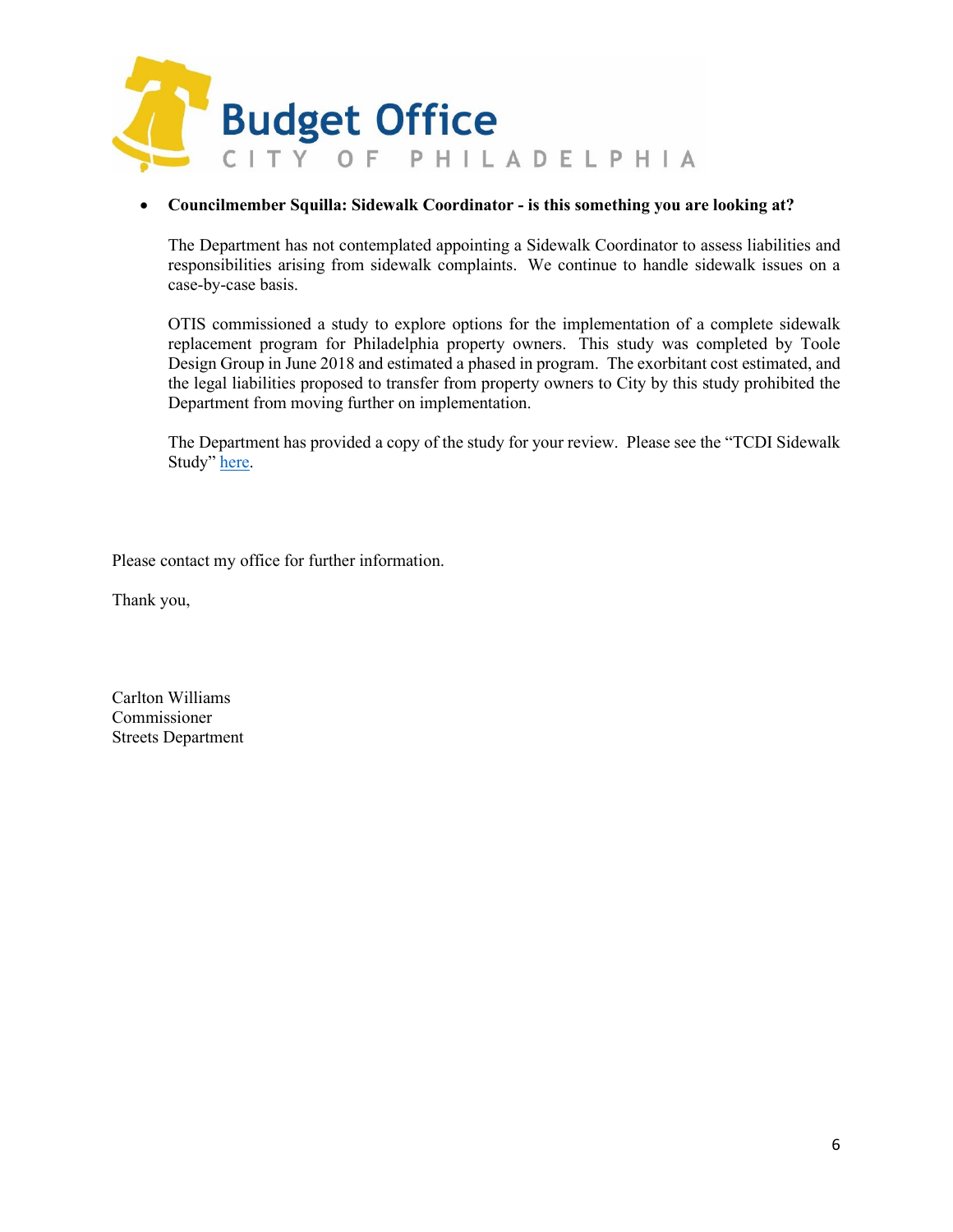

### • **Councilmember Squilla: Sidewalk Coordinator - is this something you are looking at?**

The Department has not contemplated appointing a Sidewalk Coordinator to assess liabilities and responsibilities arising from sidewalk complaints. We continue to handle sidewalk issues on a case-by-case basis.

OTIS commissioned a study to explore options for the implementation of a complete sidewalk replacement program for Philadelphia property owners. This study was completed by Toole Design Group in June 2018 and estimated a phased in program. The exorbitant cost estimated, and the legal liabilities proposed to transfer from property owners to City by this study prohibited the Department from moving further on implementation.

The Department has provided a copy of the study for your review. Please see the "TCDI Sidewalk Study" [here.](https://www.dvrpc.org/asp/TCDIdirect/(S(gfvmbdagmin1sckhxufmc4zo))/filedownload.aspx?fileid=1YCUOMul9KoubRaZezR25SIzEHaxT06W8&filename=TCDI_498deliverable.pdf)

Please contact my office for further information.

Thank you,

Carlton Williams Commissioner Streets Department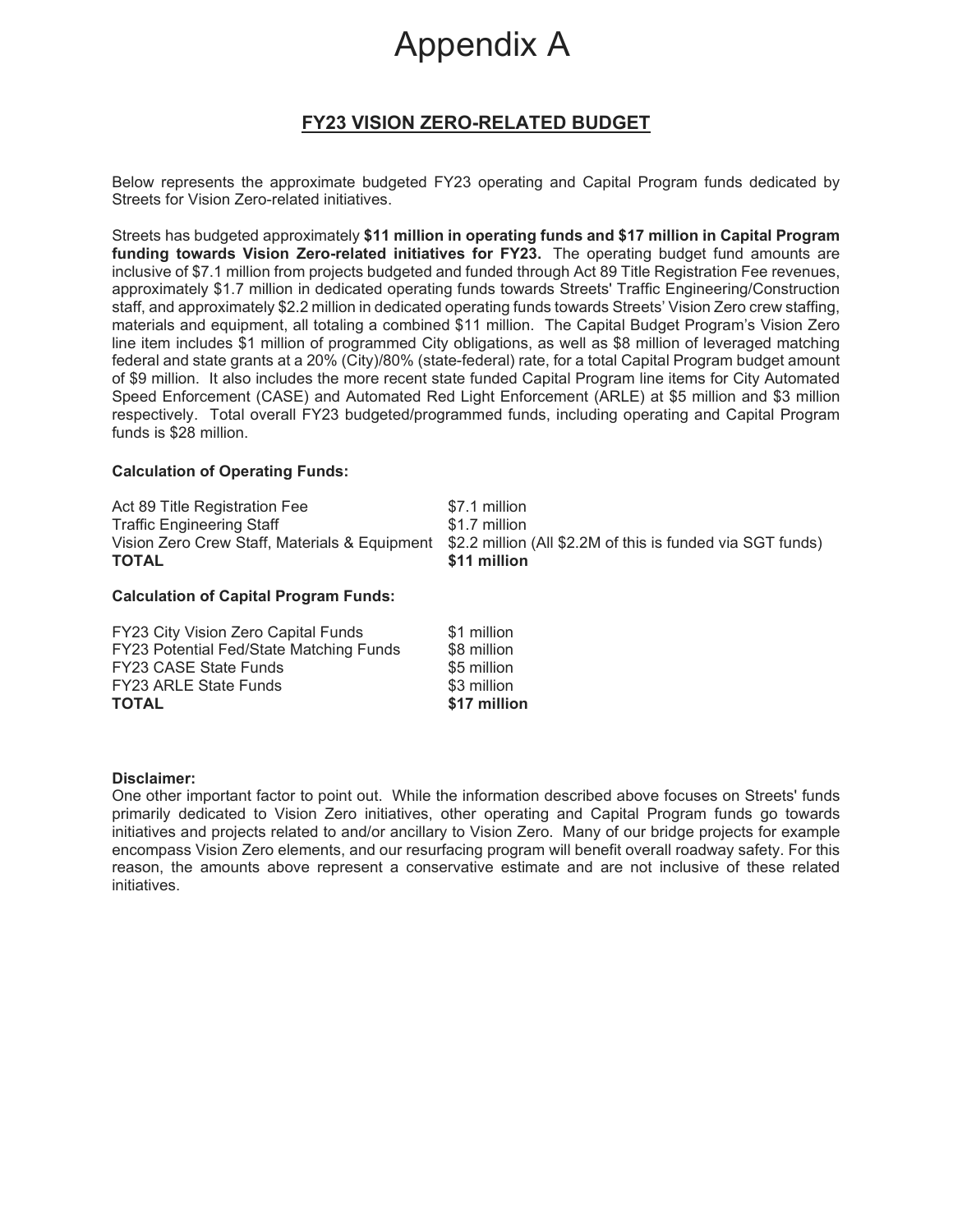## Appendix A

## **FY23 VISION ZERO-RELATED BUDGET**

Below represents the approximate budgeted FY23 operating and Capital Program funds dedicated by Streets for Vision Zero-related initiatives.

Streets has budgeted approximately **\$11 million in operating funds and \$17 million in Capital Program funding towards Vision Zero-related initiatives for FY23.** The operating budget fund amounts are inclusive of \$7.1 million from projects budgeted and funded through Act 89 Title Registration Fee revenues, approximately \$1.7 million in dedicated operating funds towards Streets' Traffic Engineering/Construction staff, and approximately \$2.2 million in dedicated operating funds towards Streets' Vision Zero crew staffing, materials and equipment, all totaling a combined \$11 million. The Capital Budget Program's Vision Zero line item includes \$1 million of programmed City obligations, as well as \$8 million of leveraged matching federal and state grants at a 20% (City)/80% (state-federal) rate, for a total Capital Program budget amount of \$9 million. It also includes the more recent state funded Capital Program line items for City Automated Speed Enforcement (CASE) and Automated Red Light Enforcement (ARLE) at \$5 million and \$3 million respectively. Total overall FY23 budgeted/programmed funds, including operating and Capital Program funds is \$28 million.

### **Calculation of Operating Funds:**

| Act 89 Title Registration Fee    | \$7.1 million                                                                                            |
|----------------------------------|----------------------------------------------------------------------------------------------------------|
| <b>Traffic Engineering Staff</b> | \$1.7 million                                                                                            |
|                                  | Vision Zero Crew Staff, Materials & Equipment \$2.2 million (All \$2.2M of this is funded via SGT funds) |
| <b>TOTAL</b>                     | \$11 million                                                                                             |

### **Calculation of Capital Program Funds:**

| <b>TOTAL</b>                                   | \$17 million |
|------------------------------------------------|--------------|
| <b>FY23 ARLE State Funds</b>                   | \$3 million  |
| <b>FY23 CASE State Funds</b>                   | \$5 million  |
| <b>FY23 Potential Fed/State Matching Funds</b> | \$8 million  |
| FY23 City Vision Zero Capital Funds            | \$1 million  |

### **Disclaimer:**

One other important factor to point out. While the information described above focuses on Streets' funds primarily dedicated to Vision Zero initiatives, other operating and Capital Program funds go towards initiatives and projects related to and/or ancillary to Vision Zero. Many of our bridge projects for example encompass Vision Zero elements, and our resurfacing program will benefit overall roadway safety. For this reason, the amounts above represent a conservative estimate and are not inclusive of these related initiatives.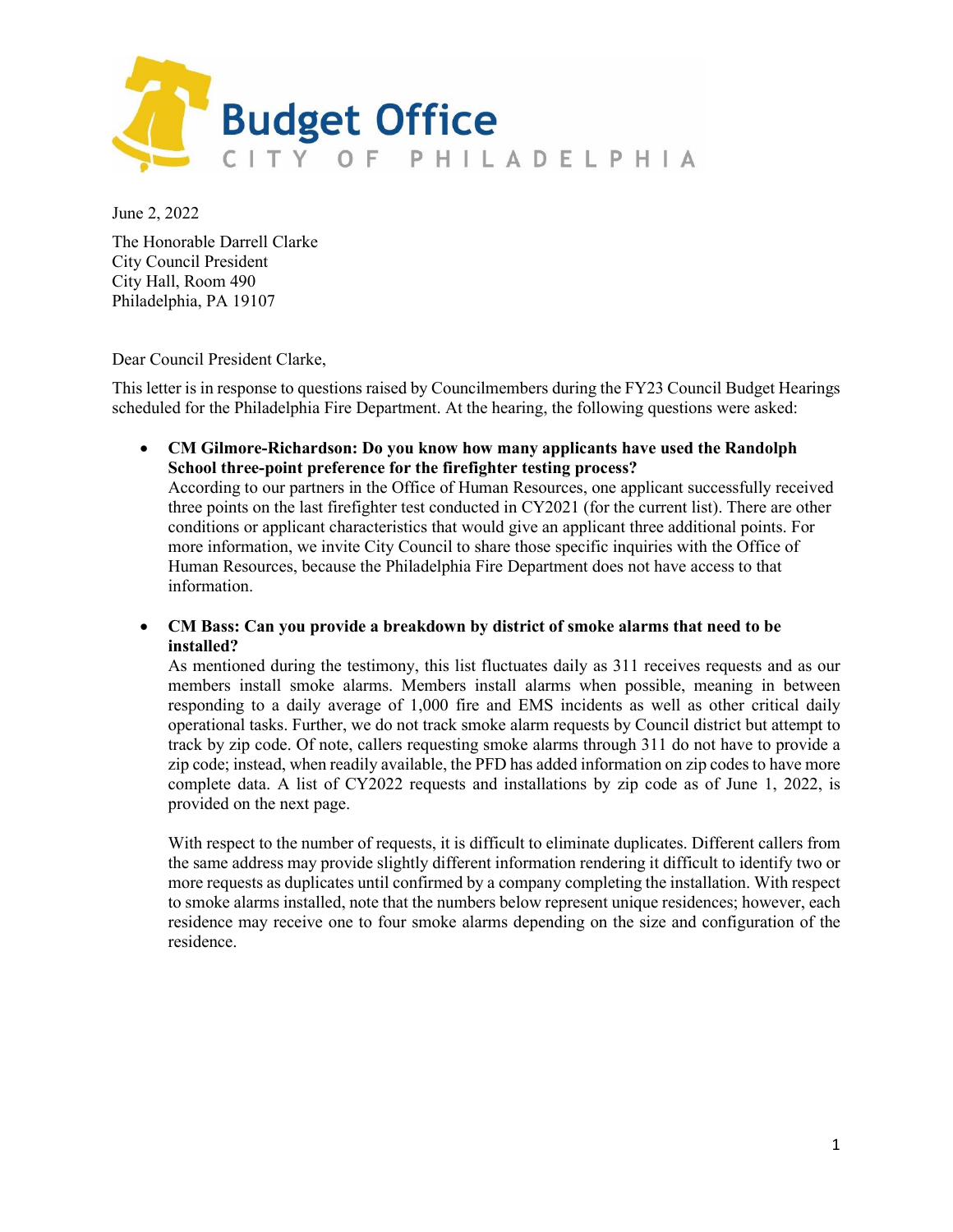

June 2, 2022

The Honorable Darrell Clarke City Council President City Hall, Room 490 Philadelphia, PA 19107

Dear Council President Clarke,

This letter is in response to questions raised by Councilmembers during the FY23 Council Budget Hearings scheduled for the Philadelphia Fire Department. At the hearing, the following questions were asked:

• **CM Gilmore-Richardson: Do you know how many applicants have used the Randolph School three-point preference for the firefighter testing process?**

According to our partners in the Office of Human Resources, one applicant successfully received three points on the last firefighter test conducted in CY2021 (for the current list). There are other conditions or applicant characteristics that would give an applicant three additional points. For more information, we invite City Council to share those specific inquiries with the Office of Human Resources, because the Philadelphia Fire Department does not have access to that information.

• **CM Bass: Can you provide a breakdown by district of smoke alarms that need to be installed?**

As mentioned during the testimony, this list fluctuates daily as 311 receives requests and as our members install smoke alarms. Members install alarms when possible, meaning in between responding to a daily average of 1,000 fire and EMS incidents as well as other critical daily operational tasks. Further, we do not track smoke alarm requests by Council district but attempt to track by zip code. Of note, callers requesting smoke alarms through 311 do not have to provide a zip code; instead, when readily available, the PFD has added information on zip codes to have more complete data. A list of CY2022 requests and installations by zip code as of June 1, 2022, is provided on the next page.

With respect to the number of requests, it is difficult to eliminate duplicates. Different callers from the same address may provide slightly different information rendering it difficult to identify two or more requests as duplicates until confirmed by a company completing the installation. With respect to smoke alarms installed, note that the numbers below represent unique residences; however, each residence may receive one to four smoke alarms depending on the size and configuration of the residence.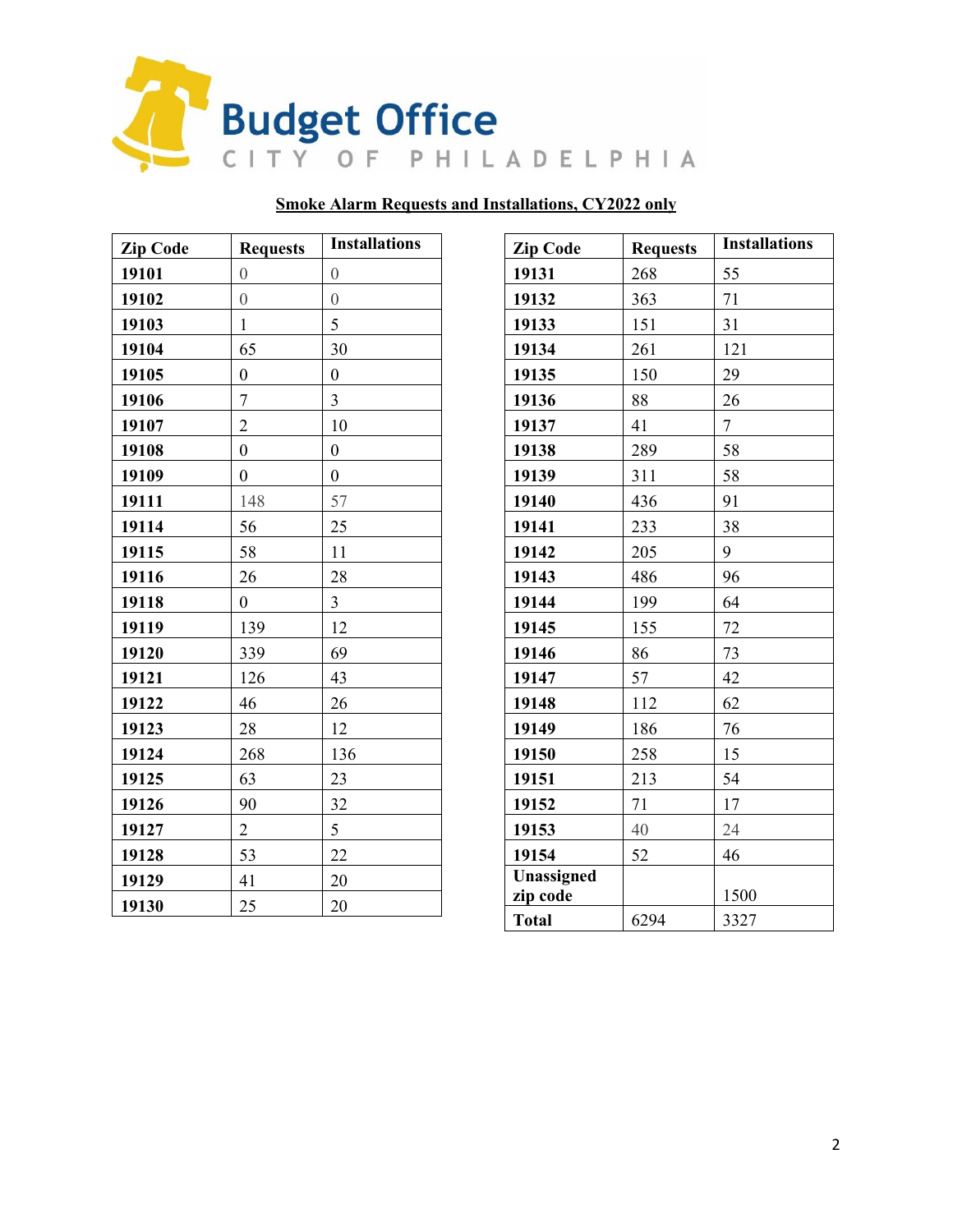

## **Smoke Alarm Requests and Installations, CY2022 only**

| <b>Zip Code</b> | <b>Requests</b>  | <b>Installations</b> |
|-----------------|------------------|----------------------|
| 19101           | $\overline{0}$   | $\overline{0}$       |
| 19102           | $\overline{0}$   | $\overline{0}$       |
| 19103           | $\mathbf{1}$     | 5                    |
| 19104           | 65               | 30                   |
| 19105           | $\boldsymbol{0}$ | $\boldsymbol{0}$     |
| 19106           | $\overline{7}$   | 3                    |
| 19107           | $\overline{2}$   | 10                   |
| 19108           | $\boldsymbol{0}$ | $\boldsymbol{0}$     |
| 19109           | $\overline{0}$   | $\overline{0}$       |
| 19111           | 148              | 57                   |
| 19114           | 56               | 25                   |
| 19115           | 58               | 11                   |
| 19116           | 26               | 28                   |
| 19118           | $\boldsymbol{0}$ | 3                    |
| 19119           | 139              | 12                   |
| 19120           | 339              | 69                   |
| 19121           | 126              | 43                   |
| 19122           | 46               | 26                   |
| 19123           | 28               | 12                   |
| 19124           | 268              | 136                  |
| 19125           | 63               | 23                   |
| 19126           | 90               | 32                   |
| 19127           | $\overline{2}$   | 5                    |
| 19128           | 53               | 22                   |
| 19129           | 41               | 20                   |
| 19130           | 25               | 20                   |

| <b>Zip Code</b> | <b>Requests</b> | <b>Installations</b> |
|-----------------|-----------------|----------------------|
| 19131           | 268             | 55                   |
| 19132           | 363             | 71                   |
| 19133           | 151             | 31                   |
| 19134           | 261             | 121                  |
| 19135           | 150             | 29                   |
| 19136           | 88              | 26                   |
| 19137           | 41              | 7                    |
| 19138           | 289             | 58                   |
| 19139           | 311             | 58                   |
| 19140           | 436             | 91                   |
| 19141           | 233             | 38                   |
| 19142           | 205             | 9                    |
| 19143           | 486             | 96                   |
| 19144           | 199             | 64                   |
| 19145           | 155             | 72                   |
| 19146           | 86              | 73                   |
| 19147           | 57              | 42                   |
| 19148           | 112             | 62                   |
| 19149           | 186             | 76                   |
| 19150           | 258             | 15                   |
| 19151           | 213             | 54                   |
| 19152           | 71              | 17                   |
| 19153           | 40              | 24                   |
| 19154           | 52              | 46                   |
| Unassigned      |                 |                      |
| zip code        |                 | 1500                 |
| <b>Total</b>    | 6294            | 3327                 |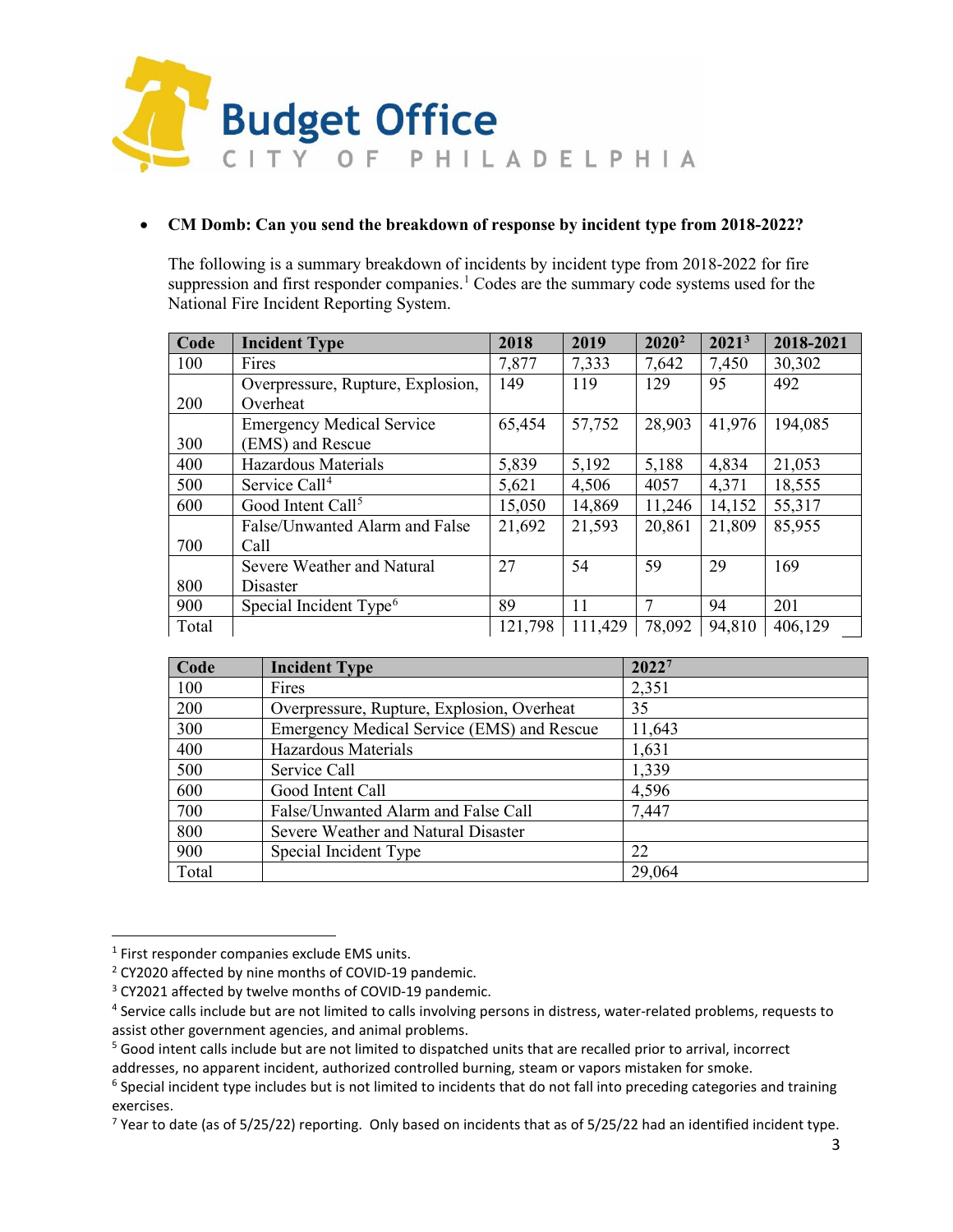

### • **CM Domb: Can you send the breakdown of response by incident type from 2018-2022?**

The following is a summary breakdown of incidents by incident type from 2018-2022 for fire suppression and first responder companies.<sup>[1](#page-9-0)</sup> Codes are the summary code systems used for the National Fire Incident Reporting System.

| Code  | <b>Incident Type</b>               | 2018    | 2019    | $2020^2$ | 2021 <sup>3</sup> | 2018-2021 |
|-------|------------------------------------|---------|---------|----------|-------------------|-----------|
| 100   | Fires                              | 7,877   | 7,333   | 7,642    | 7,450             | 30,302    |
|       | Overpressure, Rupture, Explosion,  | 149     | 119     | 129      | 95                | 492       |
| 200   | Overheat                           |         |         |          |                   |           |
|       | <b>Emergency Medical Service</b>   | 65,454  | 57,752  | 28,903   | 41,976            | 194,085   |
| 300   | (EMS) and Rescue                   |         |         |          |                   |           |
| 400   | Hazardous Materials                | 5,839   | 5,192   | 5,188    | 4,834             | 21,053    |
| 500   | Service Call <sup>4</sup>          | 5,621   | 4,506   | 4057     | 4,371             | 18,555    |
| 600   | Good Intent Call <sup>5</sup>      | 15,050  | 14,869  | 11,246   | 14,152            | 55,317    |
|       | False/Unwanted Alarm and False     | 21,692  | 21,593  | 20,861   | 21,809            | 85,955    |
| 700   | Call                               |         |         |          |                   |           |
|       | Severe Weather and Natural         | 27      | 54      | 59       | 29                | 169       |
| 800   | Disaster                           |         |         |          |                   |           |
| 900   | Special Incident Type <sup>6</sup> | 89      | 11      |          | 94                | 201       |
| Total |                                    | 121,798 | 111,429 | 78,092   | 94,810            | 406,129   |

| Code  | <b>Incident Type</b>                       | 20227  |
|-------|--------------------------------------------|--------|
| 100   | Fires                                      | 2,351  |
| 200   | Overpressure, Rupture, Explosion, Overheat | 35     |
| 300   | Emergency Medical Service (EMS) and Rescue | 11,643 |
| 400   | Hazardous Materials                        | 1,631  |
| 500   | Service Call                               | 1,339  |
| 600   | Good Intent Call                           | 4,596  |
| 700   | False/Unwanted Alarm and False Call        | 7,447  |
| 800   | Severe Weather and Natural Disaster        |        |
| 900   | Special Incident Type                      | 22     |
| Total |                                            | 29,064 |

<span id="page-9-0"></span><sup>&</sup>lt;sup>1</sup> First responder companies exclude EMS units.

<span id="page-9-1"></span><sup>2</sup> CY2020 affected by nine months of COVID-19 pandemic.

<span id="page-9-2"></span><sup>3</sup> CY2021 affected by twelve months of COVID-19 pandemic.

<span id="page-9-3"></span><sup>&</sup>lt;sup>4</sup> Service calls include but are not limited to calls involving persons in distress, water-related problems, requests to assist other government agencies, and animal problems.

<span id="page-9-4"></span> $5$  Good intent calls include but are not limited to dispatched units that are recalled prior to arrival, incorrect addresses, no apparent incident, authorized controlled burning, steam or vapors mistaken for smoke.

<span id="page-9-5"></span><sup>&</sup>lt;sup>6</sup> Special incident type includes but is not limited to incidents that do not fall into preceding categories and training exercises.

<span id="page-9-6"></span> $7$  Year to date (as of 5/25/22) reporting. Only based on incidents that as of 5/25/22 had an identified incident type.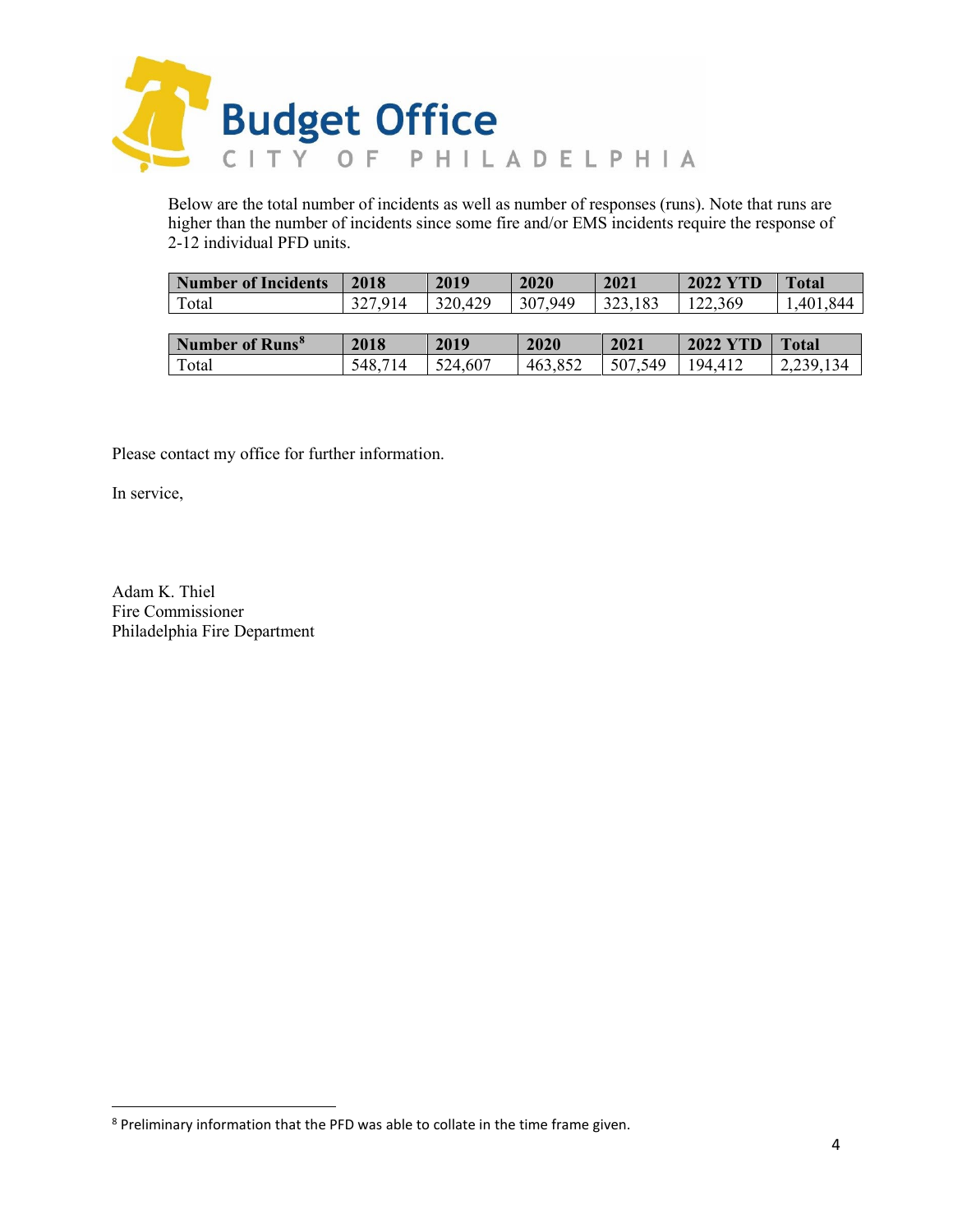

Below are the total number of incidents as well as number of responses (runs). Note that runs are higher than the number of incidents since some fire and/or EMS incidents require the response of 2-12 individual PFD units.

| <b>Number of Incidents</b>        | 2018    | 2019    | 2020    | 2021    | <b>2022 YTD</b> | <b>Total</b> |
|-----------------------------------|---------|---------|---------|---------|-----------------|--------------|
| Total                             | 327,914 | 320,429 | 307,949 | 323,183 | 122,369         | 1,401,844    |
|                                   |         |         |         |         |                 |              |
| <b>Number of Runs<sup>8</sup></b> | 2018    | 2019    | 2020    | 2021    | <b>2022 YTD</b> | Total        |
| Total                             | 548,714 | 524,607 | 463,852 | 507,549 | 194,412         | 2,239,134    |

Please contact my office for further information.

In service,

Adam K. Thiel Fire Commissioner Philadelphia Fire Department

<span id="page-10-0"></span><sup>8</sup> Preliminary information that the PFD was able to collate in the time frame given.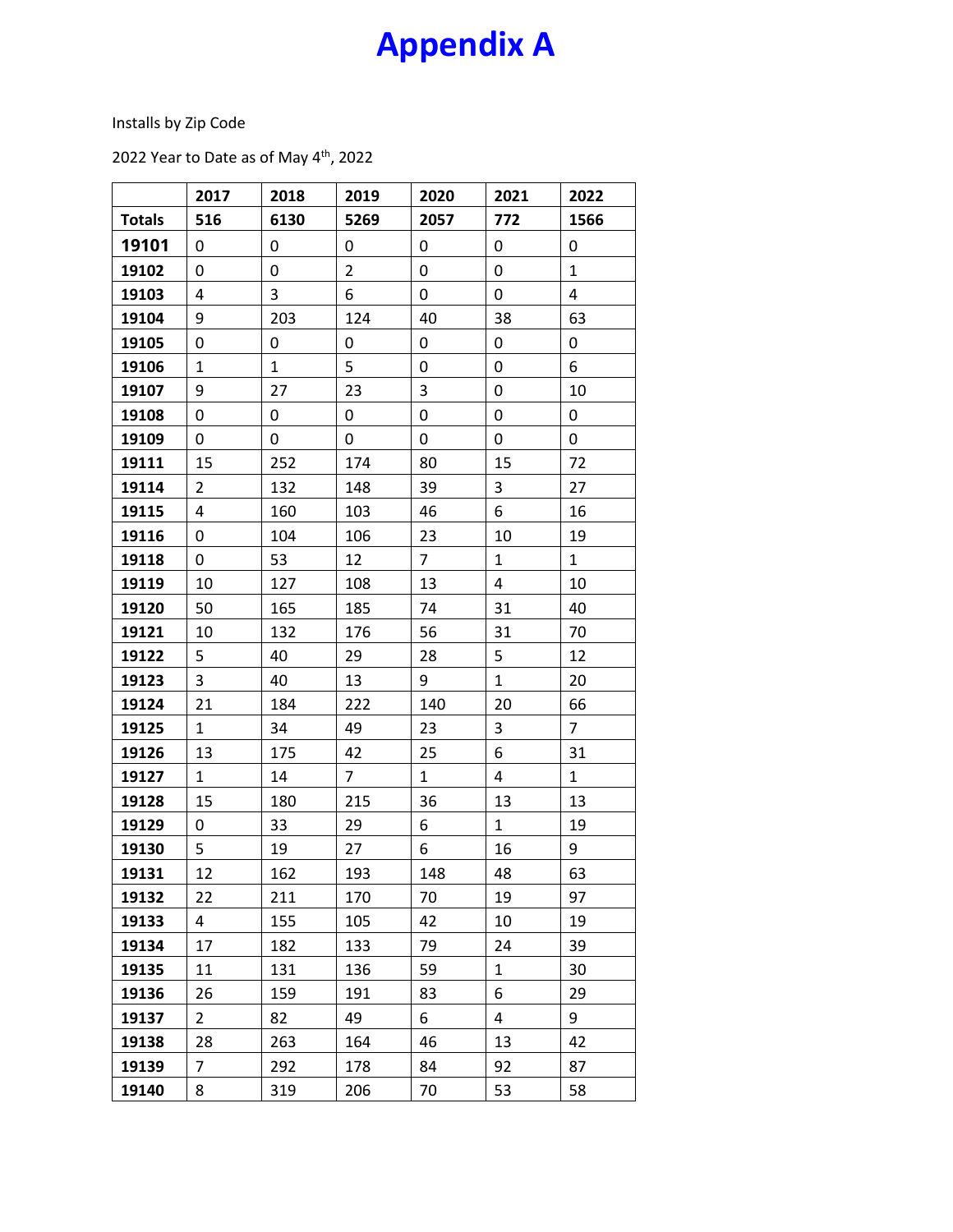# **Appendix A**

Installs by Zip Code

2022 Year to Date as of May 4<sup>th</sup>, 2022

|               | 2017           | 2018         | 2019           | 2020           | 2021         | 2022           |
|---------------|----------------|--------------|----------------|----------------|--------------|----------------|
| <b>Totals</b> | 516            | 6130         | 5269           | 2057           | 772          | 1566           |
| 19101         | 0              | 0            | 0              | 0              | 0            | 0              |
| 19102         | 0              | 0            | $\overline{2}$ | 0              | 0            | $\mathbf{1}$   |
| 19103         | 4              | 3            | 6              | 0              | 0            | $\overline{4}$ |
| 19104         | 9              | 203          | 124            | 40             | 38           | 63             |
| 19105         | 0              | 0            | 0              | 0              | 0            | 0              |
| 19106         | $\mathbf{1}$   | $\mathbf{1}$ | 5              | 0              | 0            | 6              |
| 19107         | 9              | 27           | 23             | 3              | 0            | 10             |
| 19108         | 0              | 0            | 0              | 0              | 0            | 0              |
| 19109         | 0              | 0            | 0              | 0              | 0            | 0              |
| 19111         | 15             | 252          | 174            | 80             | 15           | 72             |
| 19114         | $\overline{2}$ | 132          | 148            | 39             | 3            | 27             |
| 19115         | 4              | 160          | 103            | 46             | 6            | 16             |
| 19116         | 0              | 104          | 106            | 23             | 10           | 19             |
| 19118         | 0              | 53           | 12             | $\overline{7}$ | $\mathbf{1}$ | $\mathbf 1$    |
| 19119         | 10             | 127          | 108            | 13             | 4            | 10             |
| 19120         | 50             | 165          | 185            | 74             | 31           | 40             |
| 19121         | 10             | 132          | 176            | 56             | 31           | 70             |
| 19122         | 5              | 40           | 29             | 28             | 5            | 12             |
| 19123         | 3              | 40           | 13             | 9              | $\mathbf{1}$ | 20             |
| 19124         | 21             | 184          | 222            | 140            | 20           | 66             |
| 19125         | $\mathbf 1$    | 34           | 49             | 23             | $\mathsf 3$  | $\overline{7}$ |
| 19126         | 13             | 175          | 42             | 25             | 6            | 31             |
| 19127         | $\mathbf{1}$   | 14           | $\overline{7}$ | $\mathbf{1}$   | 4            | $\mathbf{1}$   |
| 19128         | 15             | 180          | 215            | 36             | 13           | 13             |
| 19129         | 0              | 33           | 29             | 6              | $\mathbf{1}$ | 19             |
| 19130         | 5              | 19           | 27             | 6              | 16           | 9              |
| 19131         | 12             | 162          | 193            | 148            | 48           | 63             |
| 19132         | 22             | 211          | 170            | 70             | 19           | 97             |
| 19133         | 4              | 155          | 105            | 42             | 10           | 19             |
| 19134         | 17             | 182          | 133            | 79             | 24           | 39             |
| 19135         | 11             | 131          | 136            | 59             | $\mathbf{1}$ | 30             |
| 19136         | 26             | 159          | 191            | 83             | 6            | 29             |
| 19137         | $\overline{a}$ | 82           | 49             | 6              | 4            | 9              |
| 19138         | 28             | 263          | 164            | 46             | 13           | 42             |
| 19139         | $\overline{7}$ | 292          | 178            | 84             | 92           | 87             |
| 19140         | 8              | 319          | 206            | 70             | 53           | 58             |